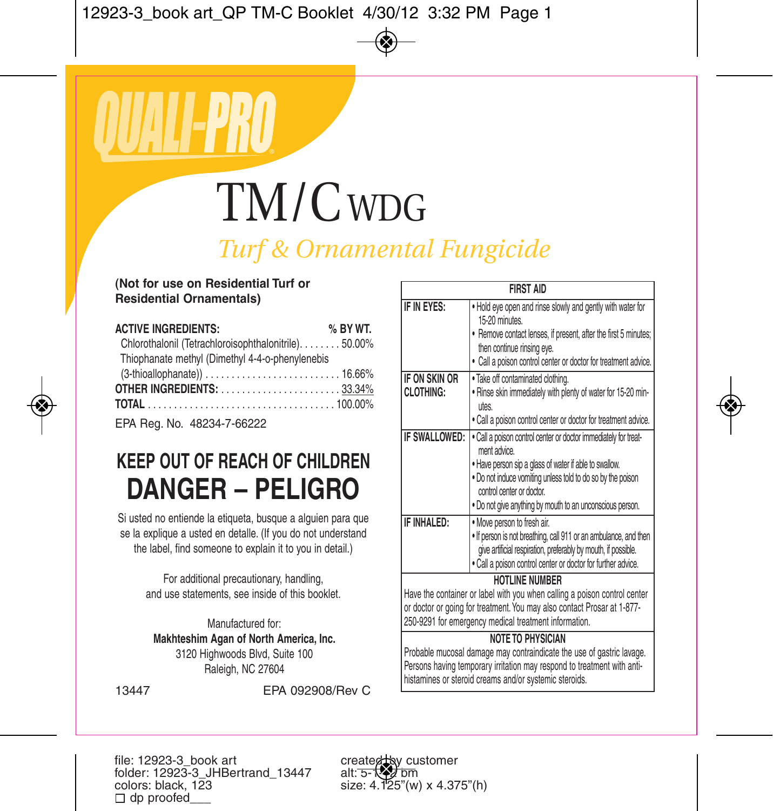# TM/C WDG

*Turf & Ornamental Fungicide*

#### **(Not for use on Residential Turf or Residential Ornamentals)**

| <b>ACTIVE INGREDIENTS:</b>                            | % BY WT. |
|-------------------------------------------------------|----------|
| Chlorothalonil (Tetrachloroisophthalonitrile). 50.00% |          |
| Thiophanate methyl (Dimethyl 4-4-o-phenylenebis       |          |
|                                                       |          |
| <b>OTHER INGREDIENTS:</b> 33.34%                      |          |
|                                                       |          |
|                                                       |          |

EPA Reg. No. 48234-7-66222

## **KEEP OUT OF REACH OF CHILDREN DANGER – PELIGRO**

Si usted no entiende la etiqueta, busque a alquien para que se la explique a usted en detalle. (If you do not understand the label, find someone to explain it to you in detail.)

> For additional precautionary, handling, and use statements, see inside of this booklet.

Manufactured for: **Makhteshim Agan of North America, Inc.** 3120 Highwoods Blvd, Suite 100 Raleigh, NC 27604

| <b>FIRST AID</b>                                                                                                                                                                                                                       |                                                                                                                                                                                                                                                                                                   |  |
|----------------------------------------------------------------------------------------------------------------------------------------------------------------------------------------------------------------------------------------|---------------------------------------------------------------------------------------------------------------------------------------------------------------------------------------------------------------------------------------------------------------------------------------------------|--|
| IF IN EYES:                                                                                                                                                                                                                            | . Hold eye open and rinse slowly and gently with water for<br>15-20 minutes.<br>. Remove contact lenses, if present, after the first 5 minutes;<br>then continue rinsing eye.<br>· Call a poison control center or doctor for treatment advice.                                                   |  |
| IF ON SKIN OR<br>CI OTHING:                                                                                                                                                                                                            | . Take off contaminated clothing.<br>. Rinse skin immediately with plenty of water for 15-20 min-<br><b>utes</b><br>. Call a poison control center or doctor for treatment advice.                                                                                                                |  |
| IF SWALLOWED:                                                                                                                                                                                                                          | . Call a poison control center or doctor immediately for treat-<br>ment advice.<br>. Have person sip a glass of water if able to swallow.<br>. Do not induce vomiting unless told to do so by the poison<br>control center or doctor<br>. Do not give anything by mouth to an unconscious person. |  |
| IF INHAI FD:                                                                                                                                                                                                                           | . Move person to fresh air.<br>. If person is not breathing, call 911 or an ambulance, and then<br>give artificial respiration, preferably by mouth, if possible.<br>. Call a poison control center or doctor for further advice.                                                                 |  |
|                                                                                                                                                                                                                                        | HOTI INF NUMBER<br>Have the container or label with you when calling a poison control center<br>or doctor or going for treatment. You may also contact Prosar at 1-877-<br>250-9291 for emergency medical treatment information.                                                                  |  |
| <b>NOTE TO PHYSICIAN</b><br>Probable mucosal damage may contraindicate the use of gastric lavage.<br>Persons having temporary irritation may respond to treatment with anti-<br>histamines or steroid creams and/or systemic steroids. |                                                                                                                                                                                                                                                                                                   |  |

13447 EPA 092908/Rev C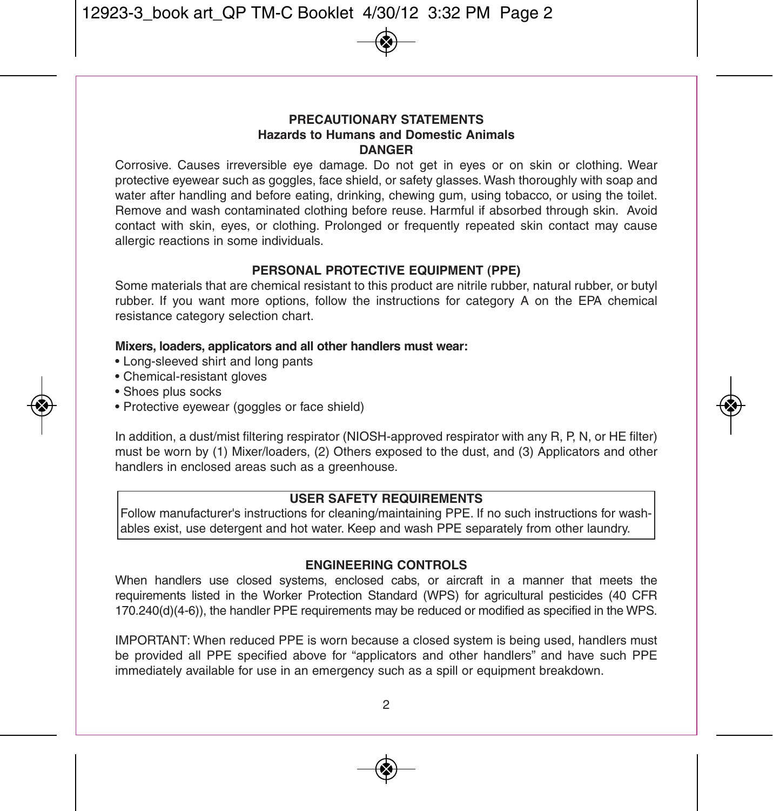#### **pRECAUTIONARY STATEMENTS Hazards to Humans and Domestic Animals DANGER**

Corrosive. Causes irreversible eye damage. Do not get in eyes or on skin or clothing. Wear protective eyewear such as goggles, face shield, or safety glasses. Wash thoroughly with soap and water after handling and before eating, drinking, chewing gum, using tobacco, or using the toilet. Remove and wash contaminated clothing before reuse. Harmful if absorbed through skin. Avoid contact with skin, eyes, or clothing. Prolonged or frequently repeated skin contact may cause allergic reactions in some individuals.

#### **pERSONAL pROTECTIVE EqUIpMENT (ppE)**

Some materials that are chemical resistant to this product are nitrile rubber, natural rubber, or butyl rubber. If you want more options, follow the instructions for category A on the EPA chemical resistance category selection chart.

#### **Mixers, loaders, applicators and all other handlers must wear:**

- Long-sleeved shirt and long pants
- Chemical-resistant gloves
- Shoes plus socks
- Protective eyewear (goggles or face shield)

In addition, a dust/mist filtering respirator (NIOSH-approved respirator with any R, P, N, or HE filter) must be worn by (1) Mixer/loaders, (2) Others exposed to the dust, and (3) Applicators and other handlers in enclosed areas such as a greenhouse.

#### **USER SAfETY REqUIREMENTS**

Follow manufacturer's instructions for cleaning/maintaining PPE. If no such instructions for washables exist, use detergent and hot water. Keep and wash PPE separately from other laundry.

#### **ENGINEERING CONTROLS**

When handlers use closed systems, enclosed cabs, or aircraft in a manner that meets the requirements listed in the Worker Protection Standard (WPS) for agricultural pesticides (40 CFR 170.240(d)(4-6)), the handler PPE requirements may be reduced or modified as specified in the WPS.

IMPORTANT: When reduced PPE is worn because a closed system is being used, handlers must be provided all PPE specified above for "applicators and other handlers" and have such PPE immediately available for use in an emergency such as a spill or equipment breakdown.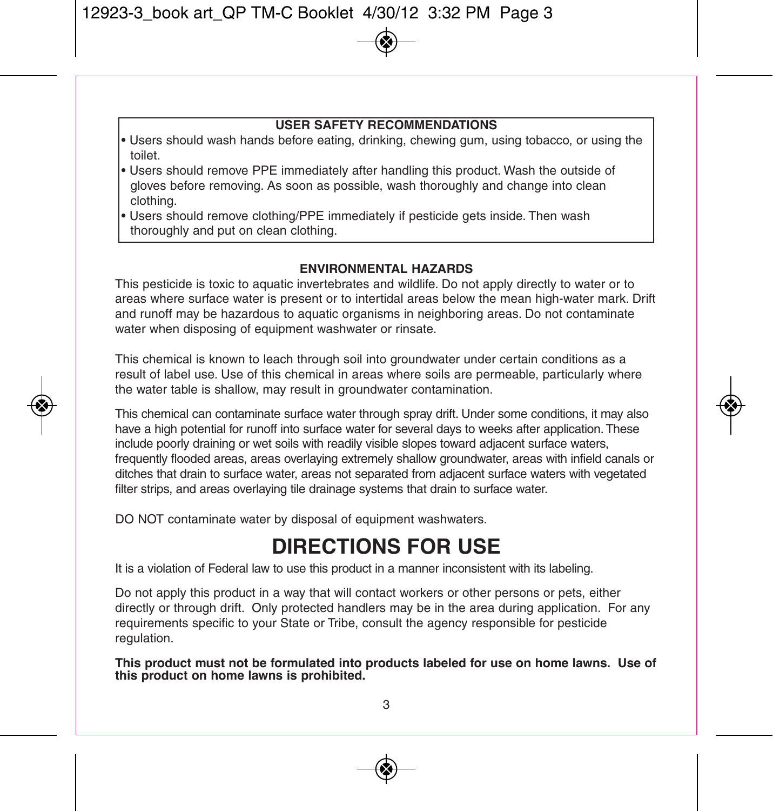#### **USER SAfETY RECOMMENDATIONS**

- Users should wash hands before eating, drinking, chewing gum, using tobacco, or using the toilet.
- Users should remove PPE immediately after handling this product. Wash the outside of gloves before removing. As soon as possible, wash thoroughly and change into clean clothing.
- Users should remove clothing/PPE immediately if pesticide gets inside. Then wash thoroughly and put on clean clothing.

#### **ENVIRONMENTAL HAZARDS**

This pesticide is toxic to aquatic invertebrates and wildlife. Do not apply directly to water or to areas where surface water is present or to intertidal areas below the mean high-water mark. Drift and runoff may be hazardous to aquatic organisms in neighboring areas. Do not contaminate water when disposing of equipment washwater or rinsate.

This chemical is known to leach through soil into groundwater under certain conditions as a result of label use. Use of this chemical in areas where soils are permeable, particularly where the water table is shallow, may result in groundwater contamination.

This chemical can contaminate surface water through spray drift. Under some conditions, it may also have a high potential for runoff into surface water for several days to weeks after application.These include poorly draining or wet soils with readily visible slopes toward adjacent surface waters, frequently flooded areas, areas overlaying extremely shallow groundwater, areas with infield canals or ditches that drain to surface water, areas not separated from adjacent surface waters with vegetated filter strips, and areas overlaying tile drainage systems that drain to surface water.

DO NOT contaminate water by disposal of equipment washwaters.

## **DIRECTIONS fOR USE**

It is a violation of Federal law to use this product in a manner inconsistent with its labeling.

Do not apply this product in a way that will contact workers or other persons or pets, either directly or through drift. Only protected handlers may be in the area during application. For any requirements specific to your State or Tribe, consult the agency responsible for pesticide regulation.

This product must not be formulated into products labeled for use on home lawns. Use of this product on home lawns is prohibited.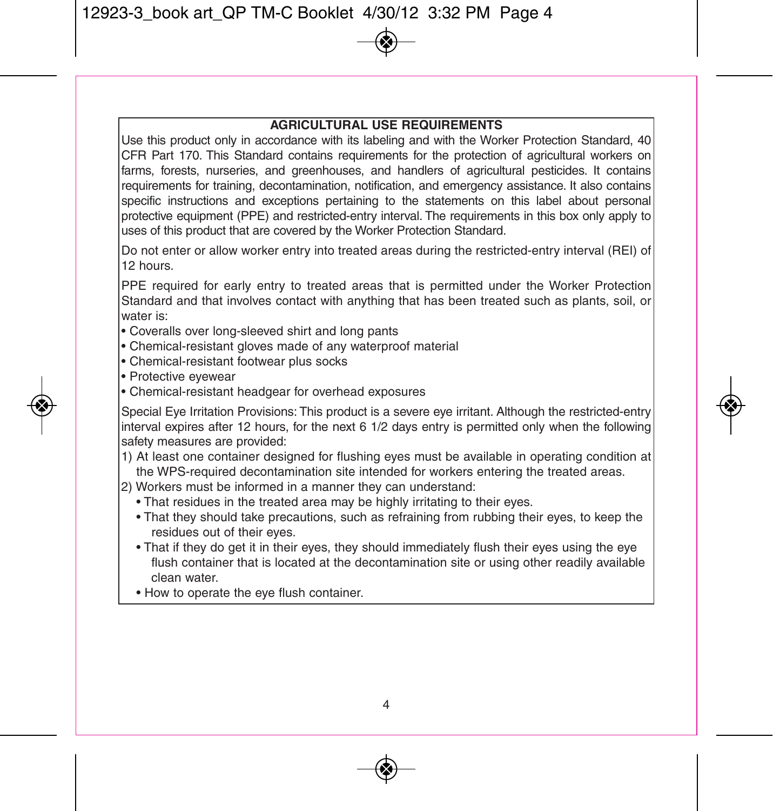#### **AGRICULTURAL USE REqUIREMENTS**

Use this product only in accordance with its labeling and with the Worker Protection Standard, 40 CFR Part 170. This Standard contains requirements for the protection of agricultural workers on farms, forests, nurseries, and greenhouses, and handlers of agricultural pesticides. It contains requirements for training, decontamination, notification, and emergency assistance. It also contains specific instructions and exceptions pertaining to the statements on this label about personal protective equipment (PPE) and restricted-entry interval. The requirements in this box only apply to uses of this product that are covered by the Worker Protection Standard.

Do not enter or allow worker entry into treated areas during the restricted-entry interval (REI) of 12 hours.

PPE required for early entry to treated areas that is permitted under the Worker Protection Standard and that involves contact with anything that has been treated such as plants, soil, or water is:

- Coveralls over long-sleeved shirt and long pants
- Chemical-resistant gloves made of any waterproof material
- Chemical-resistant footwear plus socks
- Protective eyewear
- Chemical-resistant headgear for overhead exposures

Special Eye Irritation Provisions: This product is a severe eye irritant. Although the restricted-entry interval expires after 12 hours, for the next 6 1/2 days entry is permitted only when the following safety measures are provided:

1) At least one container designed for flushing eyes must be available in operating condition at the WPS-required decontamination site intended for workers entering the treated areas.

2) Workers must be informed in a manner they can understand:

- That residues in the treated area may be highly irritating to their eyes.
- That they should take precautions, such as refraining from rubbing their eyes, to keep the residues out of their eyes.
- That if they do get it in their eyes, they should immediately flush their eyes using the eye flush container that is located at the decontamination site or using other readily available clean water.
- How to operate the eye flush container.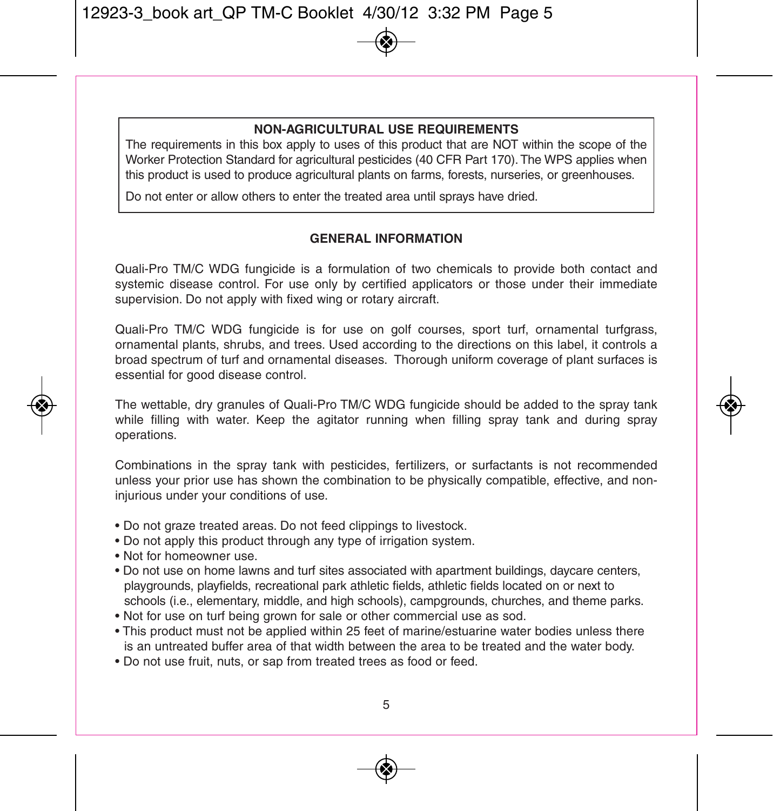#### **NON-AGRICULTURAL USE REqUIREMENTS**

The requirements in this box apply to uses of this product that are NOT within the scope of the Worker Protection Standard for agricultural pesticides (40 CFR Part 170). The WPS applies when this product is used to produce agricultural plants on farms, forests, nurseries, or greenhouses.

Do not enter or allow others to enter the treated area until sprays have dried.

#### **GENERAL INfORMATION**

Quali-Pro TM/C WDG fungicide is a formulation of two chemicals to provide both contact and systemic disease control. For use only by certified applicators or those under their immediate supervision. Do not apply with fixed wing or rotary aircraft.

Quali-Pro TM/C WDG fungicide is for use on golf courses, sport turf, ornamental turfgrass, ornamental plants, shrubs, and trees. Used according to the directions on this label, it controls a broad spectrum of turf and ornamental diseases. Thorough uniform coverage of plant surfaces is essential for good disease control.

The wettable, dry granules of Quali-Pro TM/C WDG fungicide should be added to the spray tank while filling with water. Keep the agitator running when filling spray tank and during spray operations.

Combinations in the spray tank with pesticides, fertilizers, or surfactants is not recommended unless your prior use has shown the combination to be physically compatible, effective, and noninjurious under your conditions of use.

- Do not graze treated areas. Do not feed clippings to livestock.
- Do not apply this product through any type of irrigation system.
- Not for homeowner use.
- Do not use on home lawns and turf sites associated with apartment buildings, daycare centers, playgrounds, playfields, recreational park athletic fields, athletic fields located on or next to schools (i.e., elementary, middle, and high schools), campgrounds, churches, and theme parks.
- Not for use on turf being grown for sale or other commercial use as sod.
- This product must not be applied within 25 feet of marine/estuarine water bodies unless there is an untreated buffer area of that width between the area to be treated and the water body.
- Do not use fruit, nuts, or sap from treated trees as food or feed.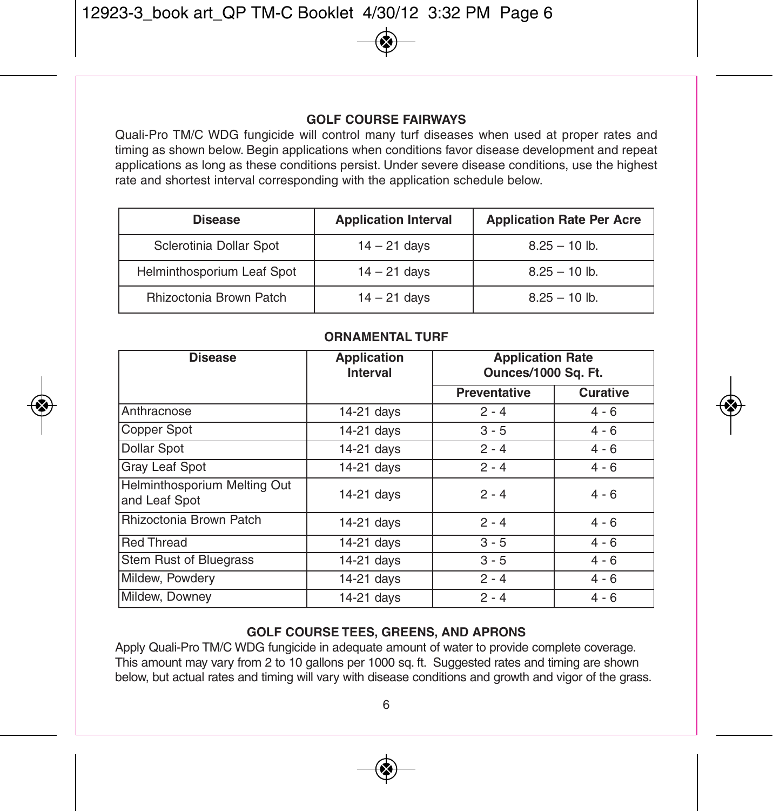#### **GOLf COURSE fAIRWAYS**

Quali-Pro TM/C WDG fungicide will control many turf diseases when used at proper rates and timing as shown below. Begin applications when conditions favor disease development and repeat applications as long as these conditions persist. Under severe disease conditions, use the highest rate and shortest interval corresponding with the application schedule below.

| <b>Disease</b>                 | <b>Application Interval</b> | <b>Application Rate Per Acre</b> |
|--------------------------------|-----------------------------|----------------------------------|
| Sclerotinia Dollar Spot        | $14 - 21$ days              | $8.25 - 10$ lb.                  |
| Helminthosporium Leaf Spot     | $14 - 21$ days              | $8.25 - 10$ lb.                  |
| <b>Rhizoctonia Brown Patch</b> | $14 - 21$ days              | $8.25 - 10$ lb.                  |

#### **ORNAMENTAL TURf**

| <b>Disease</b>                                | Application<br>Interval | <b>Application Rate</b><br>Ounces/1000 Sq. Ft. |          |
|-----------------------------------------------|-------------------------|------------------------------------------------|----------|
|                                               |                         | Preventative                                   | Curative |
| Anthracnose                                   | 14-21 days              | $2 - 4$                                        | $4 - 6$  |
| Copper Spot                                   | 14-21 days              | $3 - 5$                                        | $4 - 6$  |
| <b>Dollar Spot</b>                            | 14-21 days              | $2 - 4$                                        | $4 - 6$  |
| Gray Leaf Spot                                | 14-21 days              | $2 - 4$                                        | $4 - 6$  |
| Helminthosporium Melting Out<br>and Leaf Spot | 14-21 days              | $2 - 4$                                        | $4 - 6$  |
| Rhizoctonia Brown Patch                       | 14-21 days              | $2 - 4$                                        | $4 - 6$  |
| <b>Red Thread</b>                             | 14-21 days              | $3 - 5$                                        | $4 - 6$  |
| Stem Rust of Bluegrass                        | 14-21 days              | $3 - 5$                                        | $4 - 6$  |
| Mildew, Powdery                               | 14-21 days              | $2 - 4$                                        | $4 - 6$  |
| Mildew. Downev                                | 14-21 days              | $2 - 4$                                        | $4 - 6$  |

#### **GOLf COURSE TEES, GREENS, AND ApRONS**

Apply Quali-Pro TM/C WDG fungicide in adequate amount of water to provide complete coverage. This amount may vary from 2 to 10 gallons per 1000 sq. ft. Suggested rates and timing are shown below, but actual rates and timing will vary with disease conditions and growth and vigor of the grass.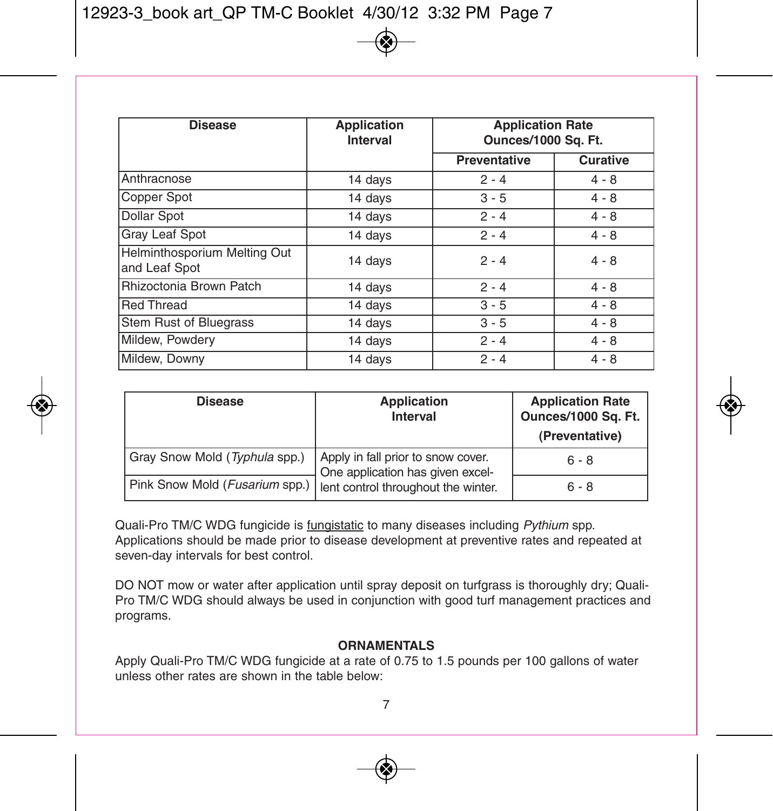| <b>Disease</b>                                | <b>Application</b><br>Interval | <b>Application Rate</b><br>Ounces/1000 Sq. Ft. |          |
|-----------------------------------------------|--------------------------------|------------------------------------------------|----------|
|                                               |                                | Preventative                                   | Curative |
| Anthracnose                                   | 14 days                        | $2 - 4$                                        | $4 - 8$  |
| Copper Spot                                   | 14 days                        | $3 - 5$                                        | $4 - 8$  |
| <b>Dollar Spot</b>                            | 14 days                        | $2 - 4$                                        | $4 - 8$  |
| Gray Leaf Spot                                | 14 days                        | $2 - 4$                                        | $4 - 8$  |
| Helminthosporium Melting Out<br>and Leaf Spot | 14 days                        | $2 - 4$                                        | $4 - 8$  |
| Rhizoctonia Brown Patch                       | 14 days                        | $2 - 4$                                        | $4 - 8$  |
| <b>Red Thread</b>                             | 14 days                        | $3 - 5$                                        | $4 - 8$  |
| Stem Rust of Bluegrass                        | 14 days                        | $3 - 5$                                        | $4 - 8$  |
| Mildew, Powdery                               | 14 days                        | $2 - 4$                                        | $4 - 8$  |
| Mildew, Downy                                 | 14 days                        | $2 - 4$                                        | $4 - 8$  |

| <b>Disease</b>                                                       | Application<br>Interval                                                | <b>Application Rate</b><br>Ounces/1000 Sq. Ft.<br>(Preventative) |
|----------------------------------------------------------------------|------------------------------------------------------------------------|------------------------------------------------------------------|
| Gray Snow Mold (Typhula spp.)                                        | Apply in fall prior to snow cover.<br>One application has given excel- | $6 - 8$                                                          |
| Pink Snow Mold (Fusarium spp.)   lent control throughout the winter. |                                                                        | $6 - 8$                                                          |

Quali-Pro TM/C WDG fungicide is fungistatic to many diseases including *Pythium* spp. Applications should be made prior to disease development at preventive rates and repeated at seven-day intervals for best control.

DO NOT mow or water after application until spray deposit on turfgrass is thoroughly dry; Quali-Pro TM/C WDG should always be used in conjunction with good turf management practices and programs.

#### **ORNAMENTALS**

Apply Quali-Pro TM/C WDG fungicide at a rate of 0.75 to 1.5 pounds per 100 gallons of water unless other rates are shown in the table below: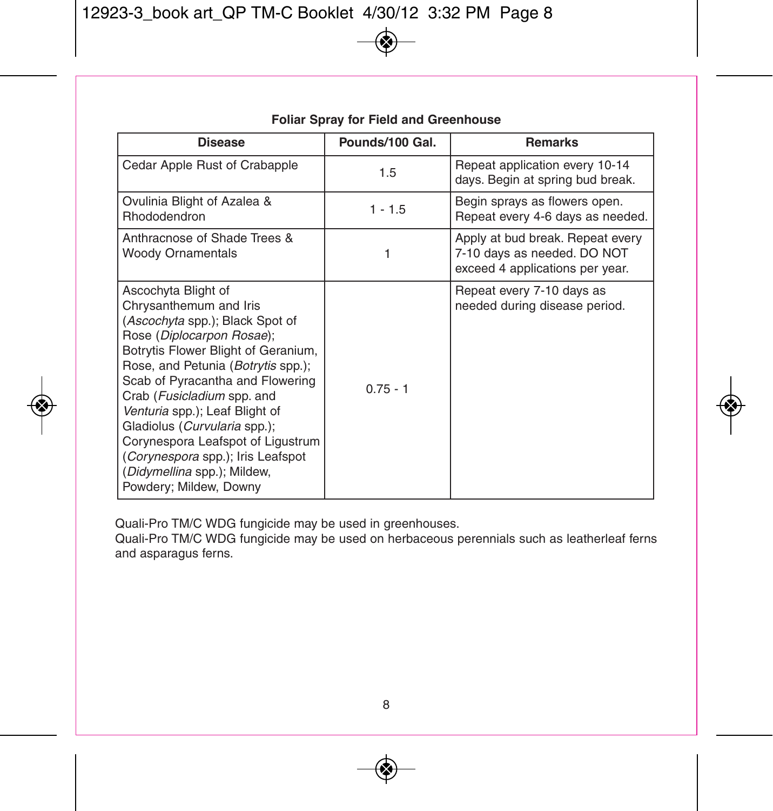| Disease                                                                                                                                                                                                                                                                                                                                                                                                                                                           | Pounds/100 Gal. | <b>Remarks</b>                                                                                     |
|-------------------------------------------------------------------------------------------------------------------------------------------------------------------------------------------------------------------------------------------------------------------------------------------------------------------------------------------------------------------------------------------------------------------------------------------------------------------|-----------------|----------------------------------------------------------------------------------------------------|
| Cedar Apple Rust of Crabapple                                                                                                                                                                                                                                                                                                                                                                                                                                     | 1.5             | Repeat application every 10-14<br>days. Begin at spring bud break.                                 |
| Ovulinia Blight of Azalea &<br><b>Rhododendron</b>                                                                                                                                                                                                                                                                                                                                                                                                                | $1 - 1.5$       | Begin sprays as flowers open.<br>Repeat every 4-6 days as needed.                                  |
| Anthracnose of Shade Trees &<br><b>Woody Ornamentals</b>                                                                                                                                                                                                                                                                                                                                                                                                          |                 | Apply at bud break. Repeat every<br>7-10 days as needed. DO NOT<br>exceed 4 applications per year. |
| Ascochyta Blight of<br>Chrysanthemum and Iris<br>(Ascochyta spp.); Black Spot of<br>Rose (Diplocarpon Rosae);<br>Botrytis Flower Blight of Geranium,<br>Rose, and Petunia (Botrytis spp.);<br>Scab of Pyracantha and Flowering<br>Crab (Fusicladium spp. and<br>Venturia spp.); Leaf Blight of<br>Gladiolus (Curvularia spp.);<br>Corynespora Leafspot of Ligustrum<br>(Corynespora spp.); Iris Leafspot<br>(Didymellina spp.); Mildew,<br>Powdery; Mildew, Downy | $0.75 - 1$      | Repeat every 7-10 days as<br>needed during disease period.                                         |

**foliar Spray for field and Greenhouse**

Quali-Pro TM/C WDG fungicide may be used in greenhouses.

Quali-Pro TM/C WDG fungicide may be used on herbaceous perennials such as leatherleaf ferns and asparagus ferns.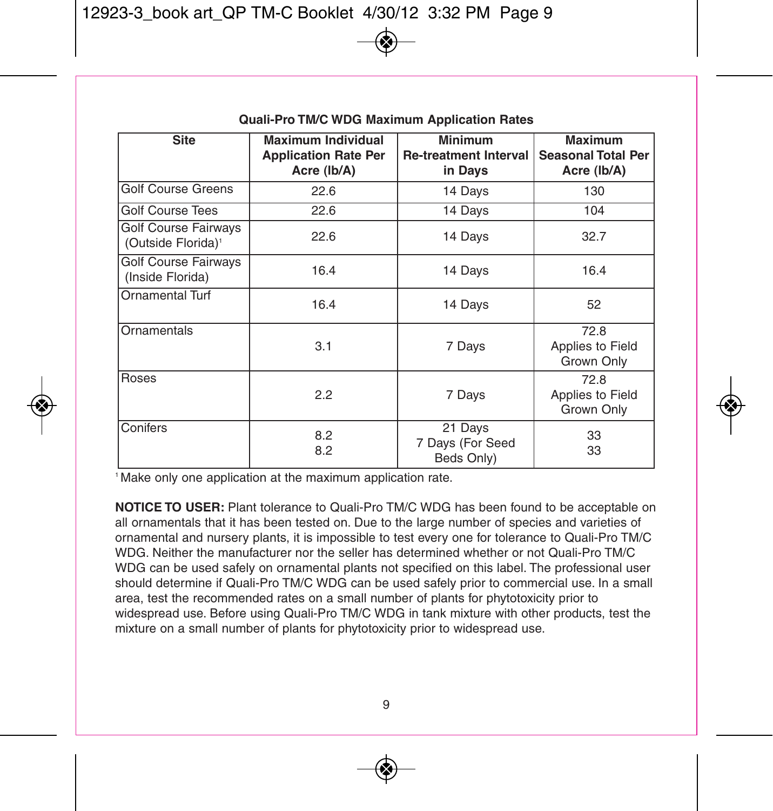| <b>Site</b>                                            | <b>Maximum Individual</b><br><b>Application Rate Per</b><br>Acre (Ib/A) | <b>Minimum</b><br><b>Re-treatment Interval</b><br>in Days | Maximum<br><b>Seasonal Total Per</b><br>Acre (Ib/A) |
|--------------------------------------------------------|-------------------------------------------------------------------------|-----------------------------------------------------------|-----------------------------------------------------|
| <b>Golf Course Greens</b>                              | 22.6                                                                    | 14 Days                                                   | 130                                                 |
| <b>Golf Course Tees</b>                                | 22.6                                                                    | 14 Days                                                   | 104                                                 |
| Golf Course Fairways<br>(Outside Florida) <sup>1</sup> | 22.6                                                                    | 14 Days                                                   | 32.7                                                |
| Golf Course Fairways<br>(Inside Florida)               | 16.4                                                                    | 14 Days                                                   | 16.4                                                |
| <b>Ornamental Turf</b>                                 | 16.4                                                                    | 14 Days                                                   | 52                                                  |
| Ornamentals                                            | 3.1                                                                     | 7 Days                                                    | 72.8<br>Applies to Field<br>Grown Only              |
| Roses                                                  | 2.2                                                                     | 7 Days                                                    | 72.8<br>Applies to Field<br>Grown Only              |
| Conifers                                               | 8.2<br>8.2                                                              | 21 Days<br>7 Days (For Seed<br>Beds Only)                 | 33<br>33                                            |

#### **quali-pro TM/C WDG Maximum Application Rates**

<sup>1</sup> Make only one application at the maximum application rate.

**NOTICE TO USER:** Plant tolerance to Quali-Pro TM/C WDG has been found to be acceptable on all ornamentals that it has been tested on. Due to the large number of species and varieties of ornamental and nursery plants, it is impossible to test every one for tolerance to Quali-Pro TM/C WDG. Neither the manufacturer nor the seller has determined whether or not Quali-Pro TM/C WDG can be used safely on ornamental plants not specified on this label. The professional user should determine if Quali-Pro TM/C WDG can be used safely prior to commercial use. In a small area, test the recommended rates on a small number of plants for phytotoxicity prior to widespread use. Before using Quali-Pro TM/C WDG in tank mixture with other products, test the mixture on a small number of plants for phytotoxicity prior to widespread use.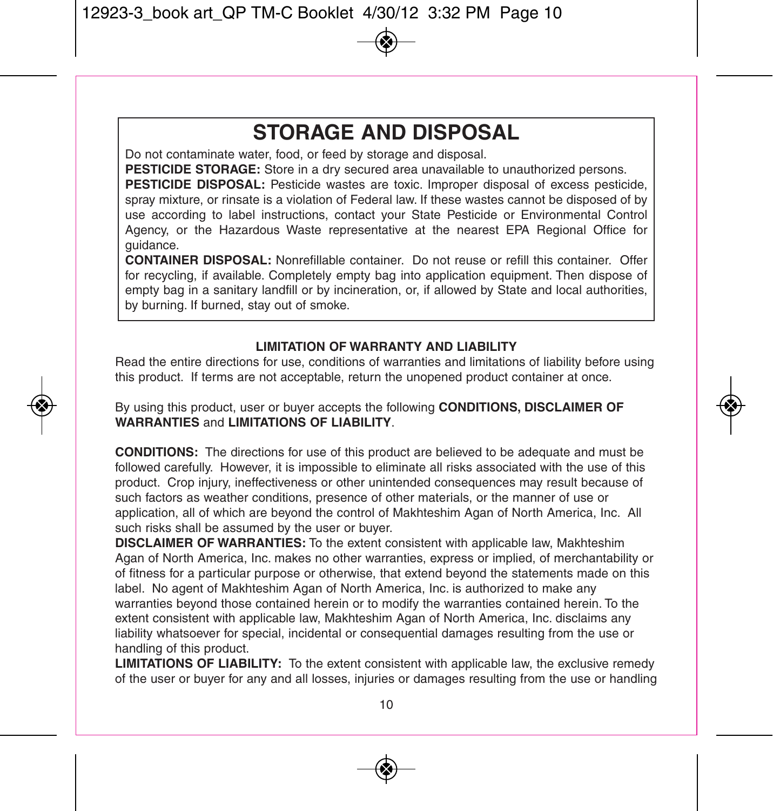## **STORAGE AND DISpOSAL**

Do not contaminate water, food, or feed by storage and disposal.

**pESTICIDE STORAGE:** Store in a dry secured area unavailable to unauthorized persons.

**pESTICIDE DISpOSAL:** Pesticide wastes are toxic. Improper disposal of excess pesticide, spray mixture, or rinsate is a violation of Federal law. If these wastes cannot be disposed of by use according to label instructions, contact your State Pesticide or Environmental Control Agency, or the Hazardous Waste representative at the nearest EPA Regional Office for guidance.

**CONTAINER DISpOSAL:** Nonrefillable container. Do not reuse or refill this container. Offer for recycling, if available. Completely empty bag into application equipment. Then dispose of empty bag in a sanitary landfill or by incineration, or, if allowed by State and local authorities, by burning. If burned, stay out of smoke.

#### **LIMITATION Of WARRANTY AND LIABILITY**

Read the entire directions for use, conditions of warranties and limitations of liability before using this product. If terms are not acceptable, return the unopened product container at once.

By using this product, user or buyer accepts the following **CONDITIONS, DISCLAIMER Of WARRANTIES** and **LIMITATIONS Of LIABILITY**.

**CONDITIONS:** The directions for use of this product are believed to be adequate and must be followed carefully. However, it is impossible to eliminate all risks associated with the use of this product. Crop injury, ineffectiveness or other unintended consequences may result because of such factors as weather conditions, presence of other materials, or the manner of use or application, all of which are beyond the control of Makhteshim Agan of North America, Inc. All such risks shall be assumed by the user or buyer.

**DISCLAIMER Of WARRANTIES:** To the extent consistent with applicable law, Makhteshim Agan of North America, Inc. makes no other warranties, express or implied, of merchantability or of fitness for a particular purpose or otherwise, that extend beyond the statements made on this label. No agent of Makhteshim Agan of North America, Inc. is authorized to make any warranties beyond those contained herein or to modify the warranties contained herein. To the extent consistent with applicable law, Makhteshim Agan of North America, Inc. disclaims any liability whatsoever for special, incidental or consequential damages resulting from the use or handling of this product.

**LIMITATIONS Of LIABILITY:** To the extent consistent with applicable law, the exclusive remedy of the user or buyer for any and all losses, injuries or damages resulting from the use or handling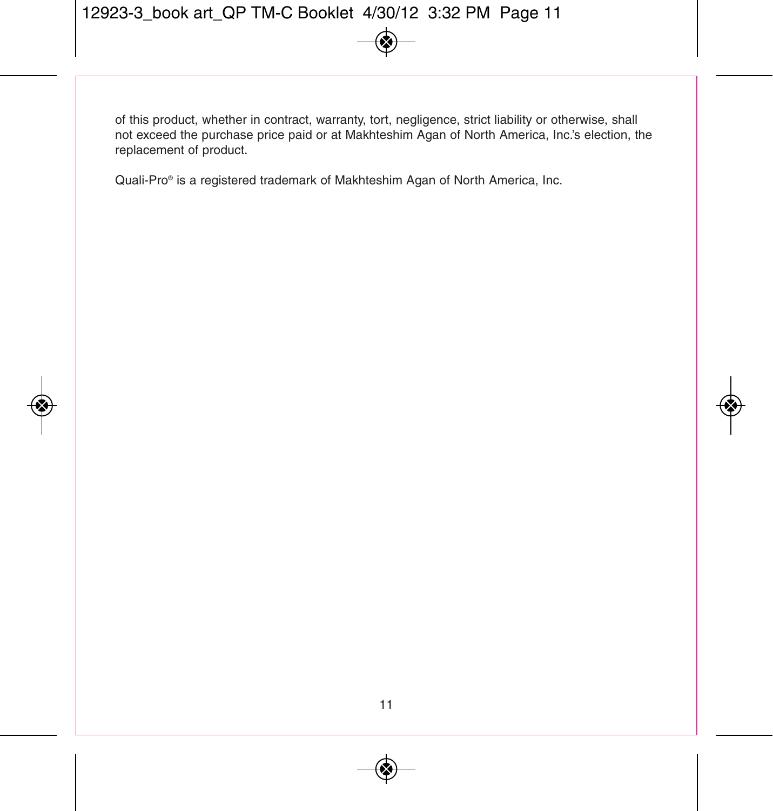of this product, whether in contract, warranty, tort, negligence, strict liability or otherwise, shall not exceed the purchase price paid or at Makhteshim Agan of North America, Inc.'s election, the replacement of product.

Quali-Pro® is a registered trademark of Makhteshim Agan of North America, Inc.